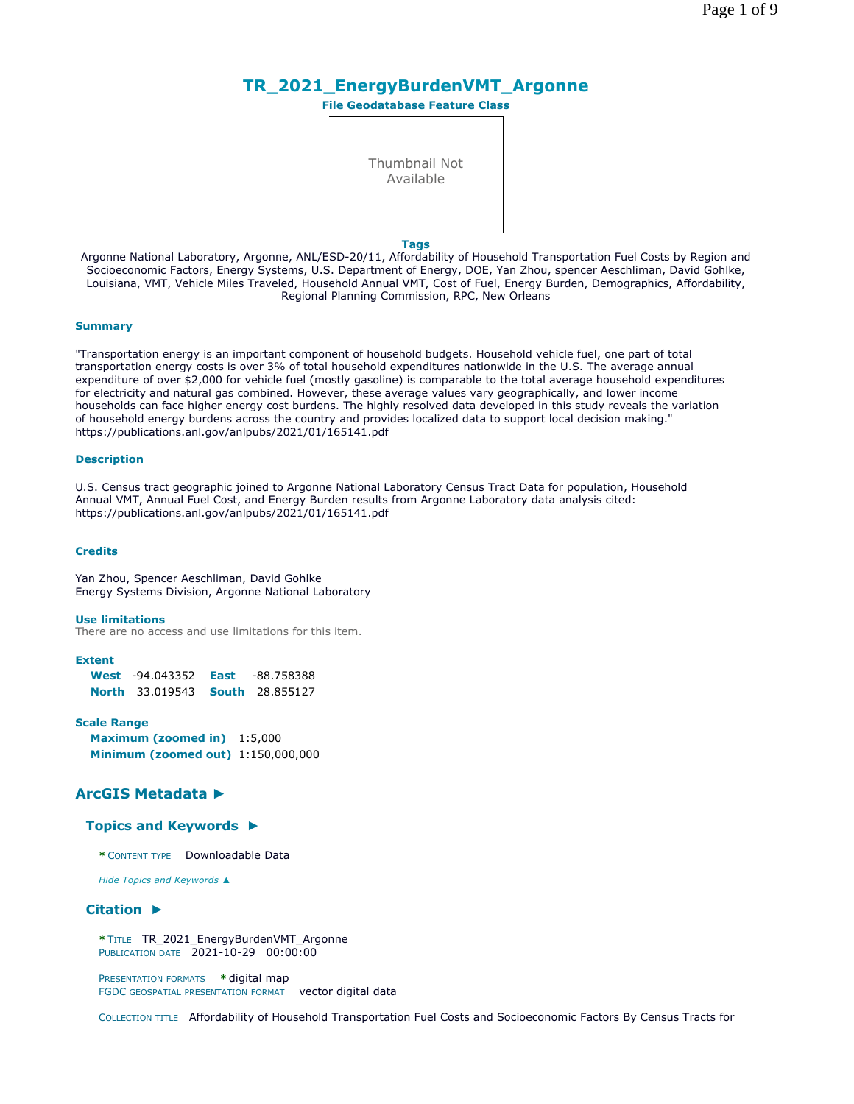# **TR\_2021\_EnergyBurdenVMT\_Argonne**

**File Geodatabase Feature Class**



**Tags**

Argonne National Laboratory, Argonne, ANL/ESD-20/11, Affordability of Household Transportation Fuel Costs by Region and Socioeconomic Factors, Energy Systems, U.S. Department of Energy, DOE, Yan Zhou, spencer Aeschliman, David Gohlke, Louisiana, VMT, Vehicle Miles Traveled, Household Annual VMT, Cost of Fuel, Energy Burden, Demographics, Affordability, Regional Planning Commission, RPC, New Orleans

#### **Summary**

"Transportation energy is an important component of household budgets. Household vehicle fuel, one part of total transportation energy costs is over 3% of total household expenditures nationwide in the U.S. The average annual expenditure of over \$2,000 for vehicle fuel (mostly gasoline) is comparable to the total average household expenditures for electricity and natural gas combined. However, these average values vary geographically, and lower income households can face higher energy cost burdens. The highly resolved data developed in this study reveals the variation of household energy burdens across the country and provides localized data to support local decision making." https://publications.anl.gov/anlpubs/2021/01/165141.pdf

#### **Description**

U.S. Census tract geographic joined to Argonne National Laboratory Census Tract Data for population, Household Annual VMT, Annual Fuel Cost, and Energy Burden results from Argonne Laboratory data analysis cited: https://publications.anl.gov/anlpubs/2021/01/165141.pdf

#### **Credits**

Yan Zhou, Spencer Aeschliman, David Gohlke Energy Systems Division, Argonne National Laboratory

#### **Use limitations**

There are no access and use limitations for this item.

# **Extent**

| <b>West</b> $-94.043352$ | East | -88.758388             |
|--------------------------|------|------------------------|
| <b>North</b> 33.019543   |      | <b>South</b> 28.855127 |

#### **Scale Range**

**Maximum (zoomed in)** 1:5,000 **Minimum (zoomed out)** 1:150,000,000

# **ArcGIS Metadata ►**

#### **Topics and Keywords ►**

**\*** CONTENT TYPE Downloadable Data

*Hide Topics and Keywords ▲*

#### **Citation ►**

**\*** TITLE TR\_2021\_EnergyBurdenVMT\_Argonne PUBLICATION DATE 2021-10-29 00:00:00

PRESENTATION FORMATS **\*** digital map FGDC GEOSPATIAL PRESENTATION FORMAT vector digital data

COLLECTION TITLE Affordability of Household Transportation Fuel Costs and Socioeconomic Factors By Census Tracts for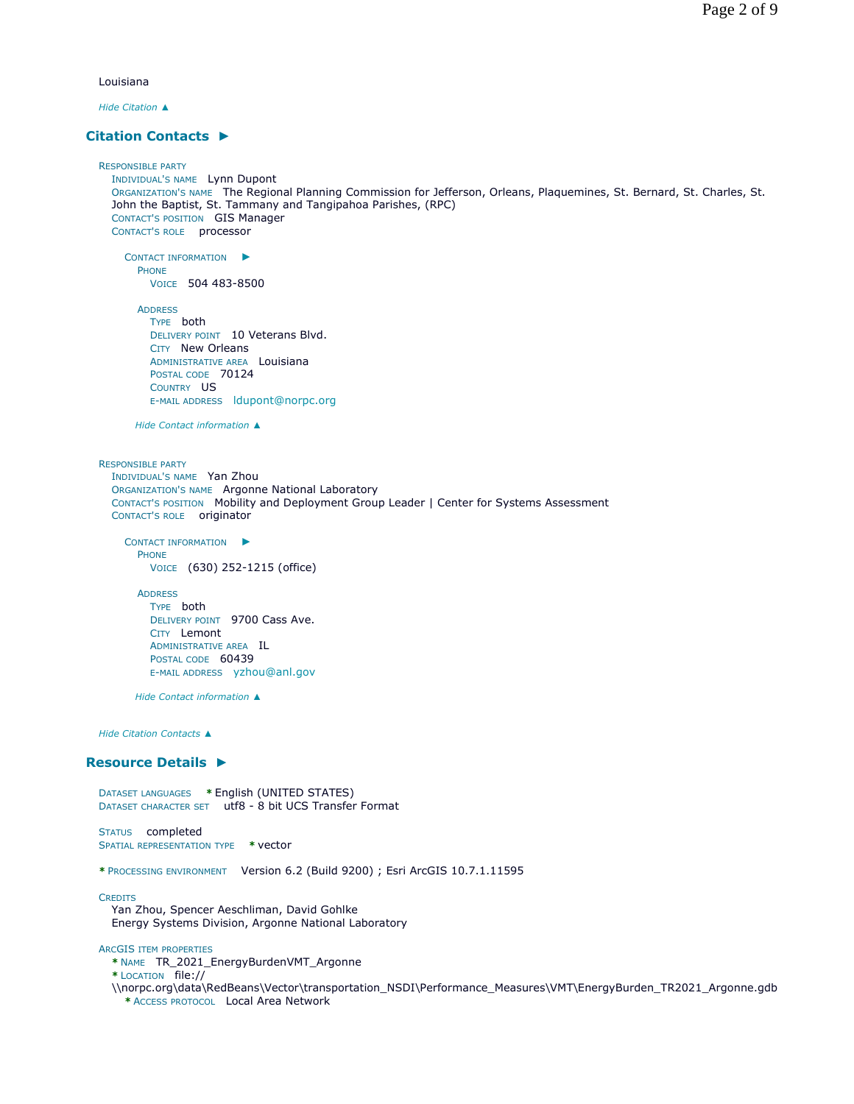Louisiana

*Hide Citation ▲*

# **Citation Contacts ►**

RESPONSIBLE PARTY INDIVIDUAL'S NAME Lynn Dupont ORGANIZATION'S NAME The Regional Planning Commission for Jefferson, Orleans, Plaquemines, St. Bernard, St. Charles, St. John the Baptist, St. Tammany and Tangipahoa Parishes, (RPC) CONTACT'S POSITION GIS Manager CONTACT'S ROLE processor

CONTACT INFORMATION ► PHONE VOICE 504 483-8500

ADDRESS TYPE both DELIVERY POINT 10 Veterans Blvd. CITY New Orleans ADMINISTRATIVE AREA Louisiana POSTAL CODE 70124 COUNTRY US E-MAIL ADDRESS ldupont@norpc.org

*Hide Contact information ▲*

RESPONSIBLE PARTY INDIVIDUAL'S NAME Yan Zhou ORGANIZATION'S NAME Argonne National Laboratory CONTACT'S POSITION Mobility and Deployment Group Leader | Center for Systems Assessment CONTACT'S ROLE originator

CONTACT INFORMATION ► PHONE VOICE (630) 252-1215 (office)

ADDRESS TYPE both DELIVERY POINT 9700 Cass Ave. CITY Lemont ADMINISTRATIVE AREA IL POSTAL CODE 60439 E-MAIL ADDRESS yzhou@anl.gov

*Hide Contact information ▲*

*Hide Citation Contacts ▲*

#### **Resource Details ►**

DATASET LANGUAGES **\*** English (UNITED STATES) DATASET CHARACTER SET utf8 - 8 bit UCS Transfer Format

STATUS completed SPATIAL REPRESENTATION TYPE **\*** vector

**\*** PROCESSING ENVIRONMENT Version 6.2 (Build 9200) ; Esri ArcGIS 10.7.1.11595

**CREDITS** 

Yan Zhou, Spencer Aeschliman, David Gohlke Energy Systems Division, Argonne National Laboratory

ARCGIS ITEM PROPERTIES

**\*** NAME TR\_2021\_EnergyBurdenVMT\_Argonne

**\*** LOCATION file://

\\norpc.org\data\RedBeans\Vector\transportation\_NSDI\Performance\_Measures\VMT\EnergyBurden\_TR2021\_Argonne.gdb **\*** ACCESS PROTOCOL Local Area Network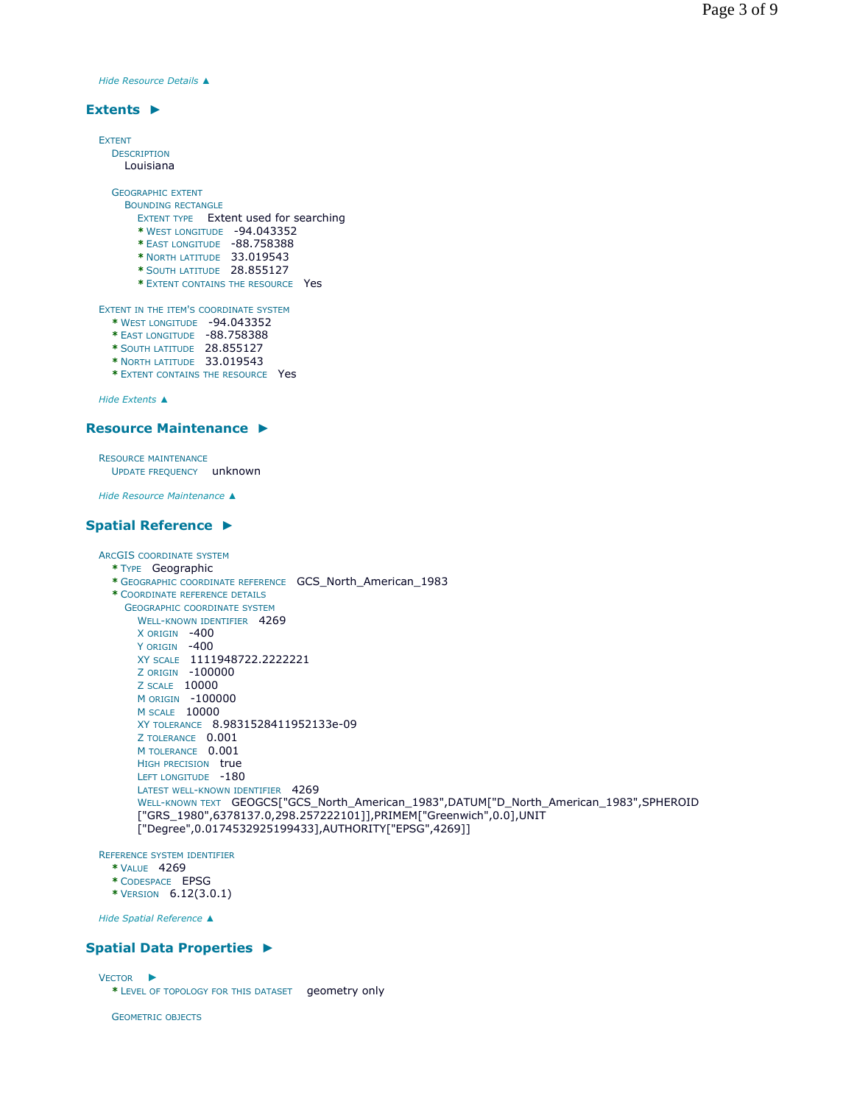*Hide Resource Details ▲*

#### **Extents ►**

| <b>FXTENT</b>                          |  |  |  |
|----------------------------------------|--|--|--|
| <b>DESCRIPTION</b>                     |  |  |  |
| Louisiana                              |  |  |  |
| <b>GEOGRAPHIC EXTENT</b>               |  |  |  |
| <b>BOUNDING RECTANGLE</b>              |  |  |  |
| EXTENT TYPE Extent used for searching  |  |  |  |
| -94.043352<br>* WEST LONGITUDE         |  |  |  |
| -88.758388<br>* EAST LONGITUDE         |  |  |  |
| * NORTH LATITUDE 33.019543             |  |  |  |
| * SOUTH LATITUDE 28.855127             |  |  |  |
| * EXTENT CONTAINS THE RESOURCE Yes     |  |  |  |
| EXTENT IN THE ITEM'S COORDINATE SYSTEM |  |  |  |
| * WEST LONGITUDE -94.043352            |  |  |  |
| * EAST LONGITUDE -88.758388            |  |  |  |
| * SOUTH LATITUDE 28.855127             |  |  |  |
| * NORTH LATITUDE 33.019543             |  |  |  |
| * EXTENT CONTAINS THE RESOURCE Yes     |  |  |  |
|                                        |  |  |  |

*Hide Extents ▲*

#### **Resource Maintenance ►**

RESOURCE MAINTENANCE UPDATE FREQUENCY unknown

*Hide Resource Maintenance ▲*

# **Spatial Reference ►**

```
ARCGIS COORDINATE SYSTEM
  * TYPE Geographic 
  * GEOGRAPHIC COORDINATE REFERENCE GCS_North_American_1983 
  * COORDINATE REFERENCE DETAILS
    GEOGRAPHIC COORDINATE SYSTEM
      WELL-KNOWN IDENTIFIER 4269
       X ORIGIN -400 
       Y ORIGIN -400
      XY SCALE 1111948722.2222221 
       Z ORIGIN -100000 
       Z SCALE 10000 
      M ORIGIN -100000 
      M SCALE 10000 
      XY TOLERANCE 8.9831528411952133e-09 
      Z TOLERANCE 0.001
      M TOLERANCE 0.001
      HIGH PRECISION true
      LEFT LONGITUDE -180
      LATEST WELL-KNOWN IDENTIFIER 4269
      WELL-KNOWN TEXT GEOGCS["GCS_North_American_1983",DATUM["D_North_American_1983",SPHEROID
      ["GRS_1980",6378137.0,298.257222101]],PRIMEM["Greenwich",0.0],UNIT
      ["Degree",0.0174532925199433],AUTHORITY["EPSG",4269]]
```
REFERENCE SYSTEM IDENTIFIER

- **\*** VALUE 4269
- **\*** CODESPACE EPSG
- **\*** VERSION 6.12(3.0.1)

*Hide Spatial Reference ▲*

# **Spatial Data Properties ►**

VECTOR ►

**\*** LEVEL OF TOPOLOGY FOR THIS DATASET geometry only

GEOMETRIC OBJECTS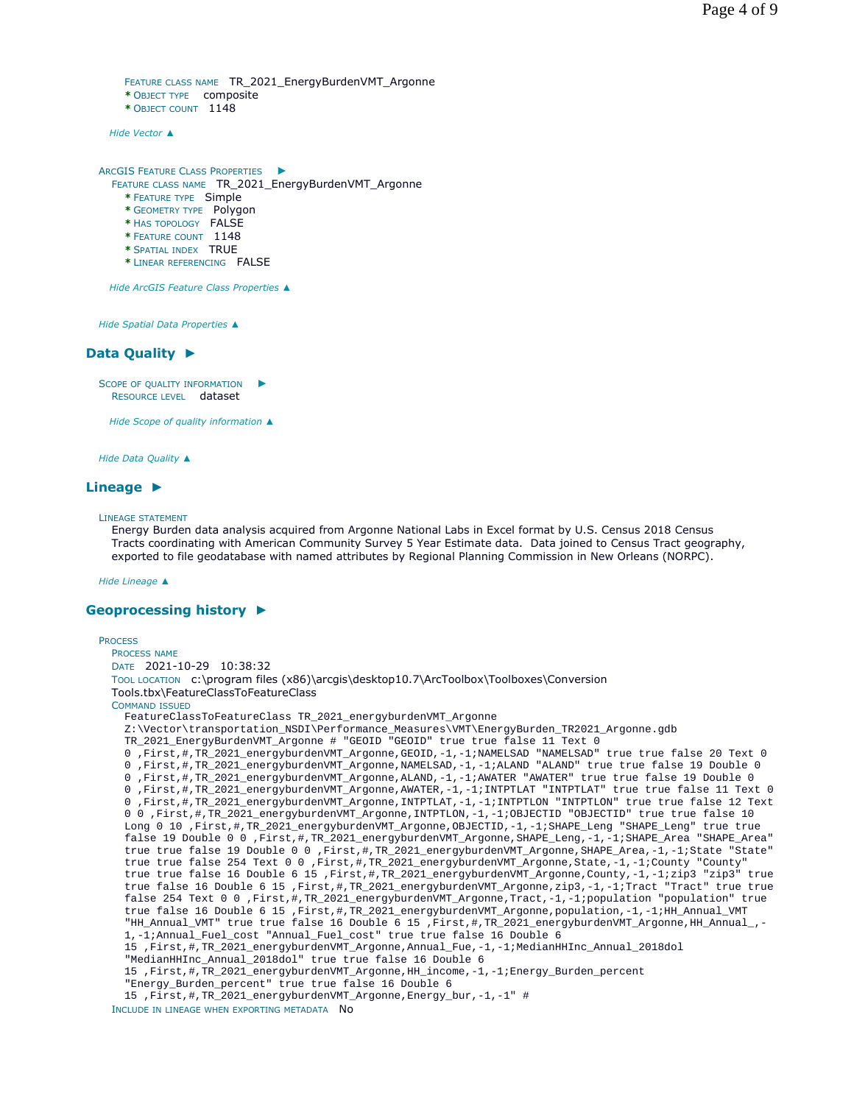```
FEATURE CLASS NAME TR_2021_EnergyBurdenVMT_Argonne
* OBJECT TYPE composite 
* OBJECT COUNT 1148
```
*Hide Vector ▲*

```
ARCGIS FEATURE CLASS PROPERTIES
►
 FEATURE CLASS NAME TR_2021_EnergyBurdenVMT_Argonne
    * FEATURE TYPE Simple
```
- **\*** GEOMETRY TYPE Polygon
- **\*** HAS TOPOLOGY FALSE
- **\*** FEATURE COUNT 1148
- **\*** SPATIAL INDEX TRUE
- **\*** LINEAR REFERENCING FALSE

*Hide ArcGIS Feature Class Properties ▲*

*Hide Spatial Data Properties ▲*

# **Data Quality ►**

SCOPE OF QUALITY INFORMATION RESOURCE LEVEL dataset ►

*Hide Scope of quality information ▲*

*Hide Data Quality ▲*

# **Lineage ►**

#### LINEAGE STATEMENT

Energy Burden data analysis acquired from Argonne National Labs in Excel format by U.S. Census 2018 Census Tracts coordinating with American Community Survey 5 Year Estimate data. Data joined to Census Tract geography, exported to file geodatabase with named attributes by Regional Planning Commission in New Orleans (NORPC).

*Hide Lineage ▲*

# **Geoprocessing history ►**

```
PROCESS
  PROCESS NAME
  DATE 2021-10-29 10:38:32 
  TOOL LOCATION c:\program files (x86)\arcgis\desktop10.7\ArcToolbox\Toolboxes\Conversion 
  Tools.tbx\FeatureClassToFeatureClass 
  COMMAND ISSUED
    FeatureClassToFeatureClass TR_2021_energyburdenVMT_Argonne 
    Z:\Vector\transportation_NSDI\Performance_Measures\VMT\EnergyBurden_TR2021_Argonne.gdb 
   TR_2021_EnergyBurdenVMT_Argonne # "GEOID "GEOID" true true false 11 Text 0 
    0 ,First,#,TR_2021_energyburdenVMT_Argonne,GEOID,-1,-1;NAMELSAD "NAMELSAD" true true false 20 Text 0 
    0 ,First,#,TR_2021_energyburdenVMT_Argonne,NAMELSAD,-1,-1;ALAND "ALAND" true true false 19 Double 0 
    0 ,First,#,TR_2021_energyburdenVMT_Argonne,ALAND,-1,-1;AWATER "AWATER" true true false 19 Double 0 
    0 ,First,#,TR_2021_energyburdenVMT_Argonne,AWATER,-1,-1;INTPTLAT "INTPTLAT" true true false 11 Text 0 
    0 ,First,#,TR_2021_energyburdenVMT_Argonne,INTPTLAT,-1,-1;INTPTLON "INTPTLON" true true false 12 Text 
    0 0 ,First,#,TR_2021_energyburdenVMT_Argonne,INTPTLON,-1,-1;OBJECTID "OBJECTID" true true false 10 
    Long 0 10 ,First,#,TR_2021_energyburdenVMT_Argonne,OBJECTID,-1,-1;SHAPE_Leng "SHAPE_Leng" true true 
    false 19 Double 0 0 ,First,#,TR_2021_energyburdenVMT_Argonne,SHAPE_Leng,-1,-1;SHAPE_Area "SHAPE_Area" 
    true true false 19 Double 0 0 ,First,#,TR_2021_energyburdenVMT_Argonne,SHAPE_Area,-1,-1;State "State" 
    true true false 254 Text 0 0 ,First,#,TR_2021_energyburdenVMT_Argonne,State,-1,-1;County "County" 
    true true false 16 Double 6 15 ,First,#,TR_2021_energyburdenVMT_Argonne,County,-1,-1;zip3 "zip3" true 
    true false 16 Double 6 15 ,First,#,TR_2021_energyburdenVMT_Argonne,zip3,-1,-1;Tract "Tract" true true 
    false 254 Text 0 0 ,First,#,TR_2021_energyburdenVMT_Argonne,Tract,-1,-1;population "population" true 
    true false 16 Double 6 15 ,First,#,TR_2021_energyburdenVMT_Argonne,population,-1,-1;HH_Annual_VMT 
    "HH_Annual_VMT" true true false 16 Double 6 15 ,First,#,TR_2021_energyburdenVMT_Argonne,HH_Annual_,-
    1,-1;Annual_Fuel_cost "Annual_Fuel_cost" true true false 16 Double 6 
    15 ,First,#,TR_2021_energyburdenVMT_Argonne,Annual_Fue,-1,-1;MedianHHInc_Annual_2018dol 
    "MedianHHInc_Annual_2018dol" true true false 16 Double 6 
    15 ,First,#,TR_2021_energyburdenVMT_Argonne,HH_income,-1,-1;Energy_Burden_percent 
    "Energy Burden percent" true true false 16 Double 6
    15 ,First,#,TR_2021_energyburdenVMT_Argonne,Energy_bur,-1,-1" #
```
INCLUDE IN LINEAGE WHEN EXPORTING METADATA NO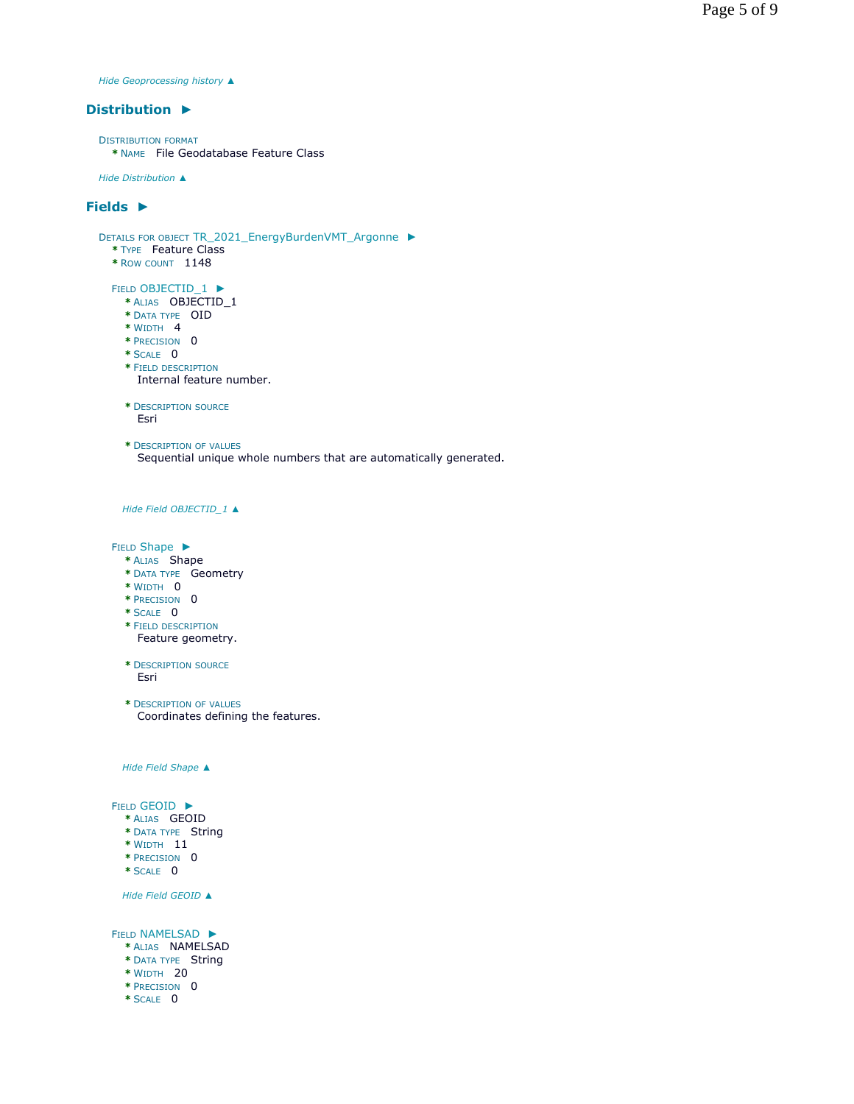*Hide Geoprocessing history ▲*

# **Distribution ►**

DISTRIBUTION FORMAT **\*** NAME File Geodatabase Feature Class

*Hide Distribution ▲*

# **Fields ►**

```
DETAILS FOR OBJECT TR_2021_EnergyBurdenVMT_Argonne 
►
 * TYPE Feature Class 
  * ROW COUNT 1148
  FIELD OBJECTID_1 
►
    * ALIAS OBJECTID_1 
    * DATA TYPE OID 
   * WIDTH 4 
   * PRECISION 0 
    * SCALE 0 
    * FIELD DESCRIPTION
    * DESCRIPTION SOURCE
    * DESCRIPTION OF VALUES
   Hide Field OBJECTID_1 ▲
  FIELD Shape ▶
     Internal feature number.
      Esri
      Sequential unique whole numbers that are automatically generated.
```
- **\*** ALIAS Shape **\*** DATA TYPE Geometry
- **\*** WIDTH 0
- 
- **\*** PRECISION 0
- **\*** SCALE 0
- **\*** FIELD DESCRIPTION Feature geometry.
- **\*** DESCRIPTION SOURCE Esri

**\*** DESCRIPTION OF VALUES Coordinates defining the features.

*Hide Field Shape ▲*

#### FIELD GEOID ►

- **\*** ALIAS GEOID
- **\*** DATA TYPE String
- **\*** WIDTH 11
- **\*** PRECISION 0
- **\*** SCALE 0

*Hide Field GEOID ▲*

FIELD NAMELSAD ▶

- **\*** ALIAS NAMELSAD
- **\*** DATA TYPE String
- **\*** WIDTH 20
- **\*** PRECISION 0
- **\*** SCALE 0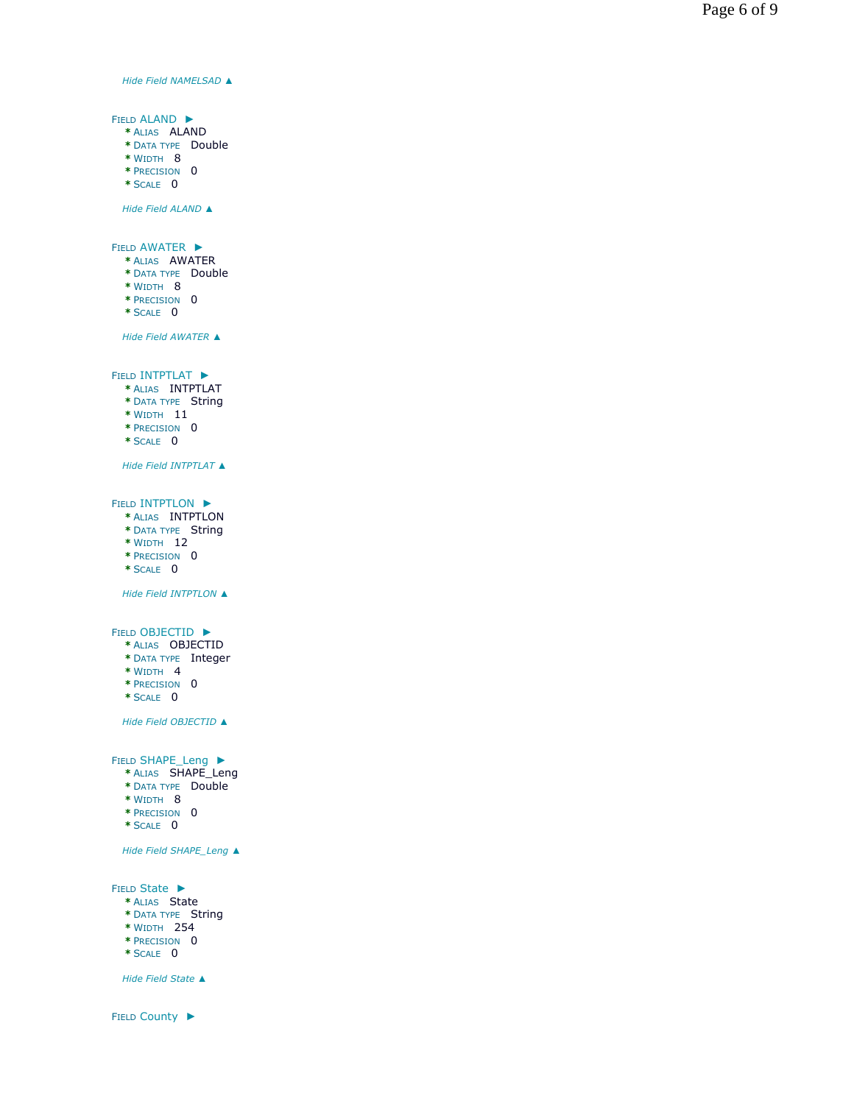*Hide Field NAMELSAD ▲*

FIELD ALAND ► **\*** ALIAS ALAND **\*** DATA TYPE Double **\*** WIDTH 8 **\*** PRECISION 0 **\*** SCALE 0

*Hide Field ALAND ▲*

FIELD AWATER  $\blacktriangleright$ 

- **\*** ALIAS AWATER ► TTEF → FTLAT → FTLAT → FTLAT → FTLAT → FTLAT → FTLAT → FTLAT → FTLAT → FTLAT → FTLAT → FTLAT → FTLAT → FTLAT → FTLAT → FTLAT → FTLAT → FTLAT → FTLAT → FTLAT → FTLAT → FTLAT → FTLAT → FTLAT → FTLAT → FTLAT → FTLAT → FTLA
- **\*** DATA TYPE Double
- **\*** WIDTH 8 **\*** PRECISION 0
- **\*** SCALE 0
- 

*Hide Field AWATER ▲*

FIELD INTPTLAT  $\blacktriangleright$ 

- **\*** ALIAS INTPTLAT
- **\*** DATA TYPE String
- **\*** WIDTH 11
- **\*** PRECISION 0
- **\*** SCALE 0

*Hide Field INTPTLAT ▲*

FIELD INTPTLON  $\blacktriangleright$ 

- **\*** ALIAS INTPTLON
- **\*** DATA TYPE String
- **\*** WIDTH 12
- **\*** PRECISION 0
- **\*** SCALE 0

*Hide Field INTPTLON ▲*

# FIELD OBJECTID  $\blacktriangleright$

- **\*** ALIAS OBJECTID
- **\*** DATA TYPE Integer
- **\*** WIDTH 4
- **\*** PRECISION 0
- **\*** SCALE 0

*Hide Field OBJECTID ▲*

FIELD SHAPE\_Leng ▶

- **\*** ALIAS SHAPE\_Leng
- **\*** DATA TYPE Double
- **\*** WIDTH 8
- **\*** PRECISION 0
- **\*** SCALE 0

*Hide Field SHAPE\_Leng ▲*

FIELD State ►

- **\*** ALIAS State
- **\*** DATA TYPE String
- **\*** WIDTH 254
- **\*** PRECISION 0
- **\*** SCALE 0

*Hide Field State ▲*

FIELD County ▶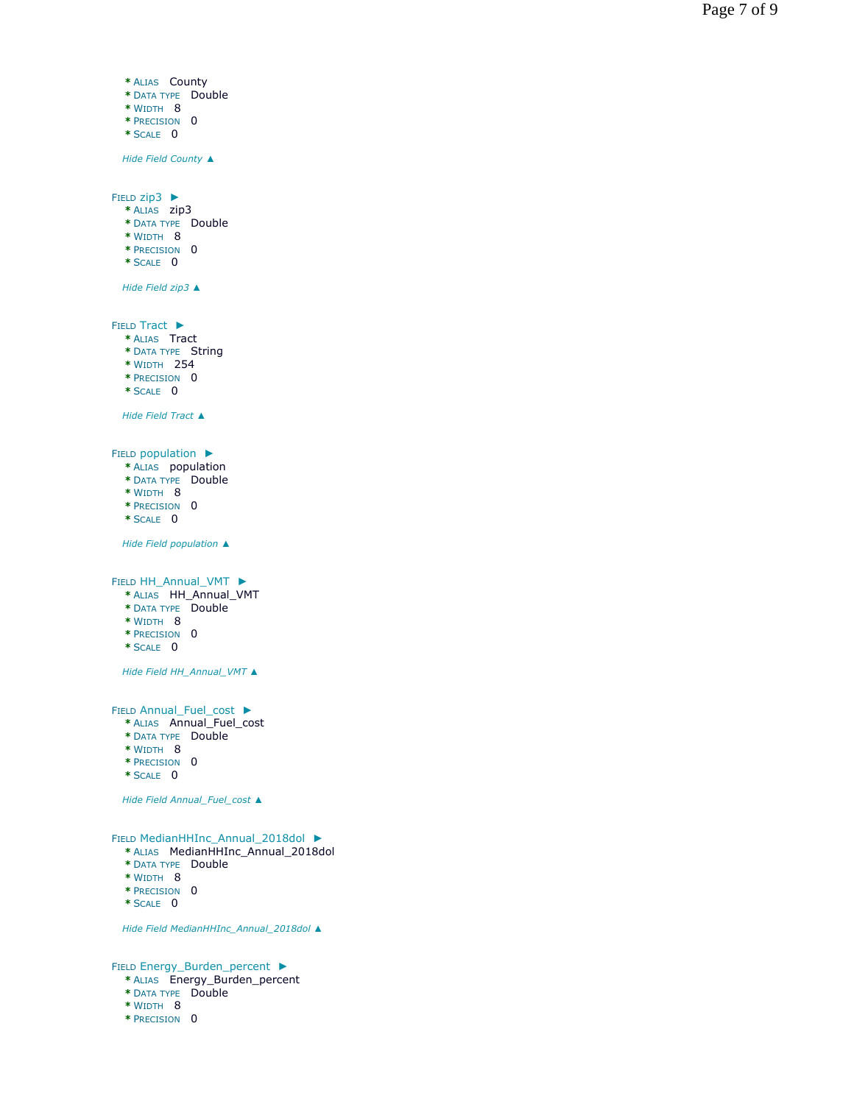```
*
ALIAS County 
   *
DATA TYPE Double 
   *
WIDTH 8 
   *
PRECISION 0 
   *
SCALE
0
   Hide Field County 
▲
FIELD zip3 \blacktriangleright* ALIAS zip3 * DATA TYPE Double * WIDTH 8 * PRECISION 0 * SCALE 0
   Hide Field zip3 
▲
FIELD Tract \blacktriangleright* ALIAS Tract * DATA TYPE String * WIDTH 254 * PRECISION 0 * SCALE 0
   Hide Field Tract 
▲
FIELD population \blacktriangleright* ALIAS population * DATA TYPE Double * WIDTH 8 * PRECISION 0 * SCALE 0
   Hide Field population 
▲
FIELD HH_Annual_VMT
   * ALIAS HH_Annual_VMT * DATA TYPE Double * WIDTH 8 * PRECISION 0 * SCALE 0
   Hide Field HH_Annual_VMT 
▲
FIELD Annual Fuel cost \blacktriangleright* ALIAS Annual_Fuel_cost * DATA TYPE Double * WIDTH 8 * PRECISION 0 * SCALE 0
   Hide Field Annual_Fuel_cost 
▲
FIELD MedianHHInc_Annual_2018dol ►
  * ALIAS MedianHHInc_Annual_2018dol * DATA TYPE Double * WIDTH 8 * PRECISION 0 * SCALE 0
   ED ZIP3 ►<br>
* NAIAS ZIP3<br>
* NAIAS ZIP3<br>
* DATA TYPE Double<br>
* WERTH 8<br>
* PRECISION 0<br>
* SCALE 0<br>
Hide Field zip3 ▲<br>
LD Tract<br>
* ALIAS Tract<br>
* ALIAS Tract<br>
* NAIAS Tract<br>
* NAIAS Tract<br>
* NAIAS
```
*Hide Field MedianHHInc\_Annual\_2018dol ▲*

FIELD Energy\_Burden\_percent ▶

- **\*** ALIAS Energy\_Burden\_percent
- **\*** DATA TYPE Double
- **\*** WIDTH 8
-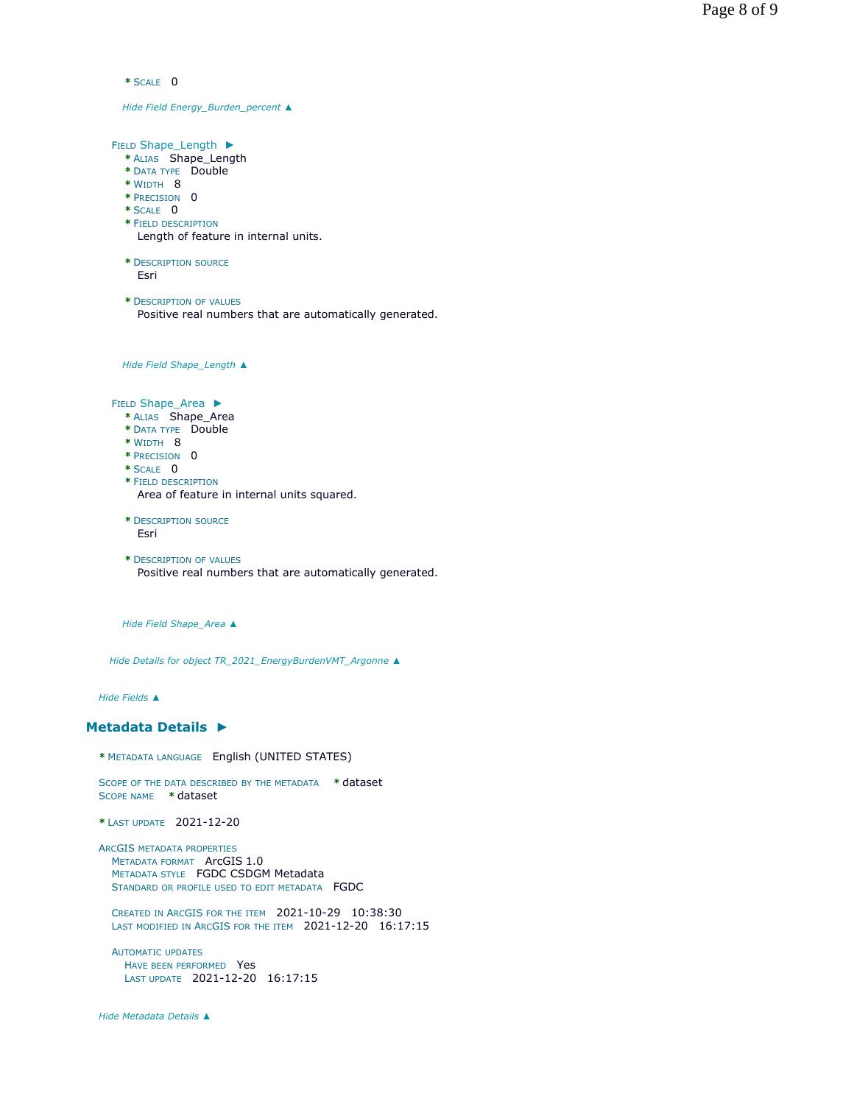```
* SCALE 0
```
*Hide Field Energy\_Burden\_percent ▲*

FIELD Shape\_Length ► **\*** ALIAS Shape\_Length **\*** DATA TYPE Double **\*** WIDTH 8 **\*** PRECISION 0 **\*** SCALE 0 **\*** FIELD DESCRIPTION **\*** DESCRIPTION SOURCE **\*** DESCRIPTION OF VALUES *Hide Field Shape\_Length ▲* FIELD Shape\_Area ▶ **\*** ALIAS Shape\_Area **\*** DATA TYPE Double **\*** WIDTH 8 **\*** PRECISION 0 **\*** SCALE 0 **\*** FIELD DESCRIPTION **\*** DESCRIPTION SOURCE **\*** DESCRIPTION OF VALUES Length of feature in internal units. Esri Positive real numbers that are automatically generated. Area of feature in internal units squared. Esri Positive real numbers that are automatically generated.

*Hide Field Shape\_Area ▲*

*Hide Details for object TR\_2021\_EnergyBurdenVMT\_Argonne ▲*

*Hide Fields ▲*

#### **Metadata Details ►**

**\*** METADATA LANGUAGE English (UNITED STATES)

SCOPE OF THE DATA DESCRIBED BY THE METADATA **\*** dataset SCOPE NAME **\*** dataset

```
* LAST UPDATE 2021-12-20
```

```
ARCGIS METADATA PROPERTIES
  METADATA FORMAT ArcGIS 1.0 
  METADATA STYLE FGDC CSDGM Metadata 
  STANDARD OR PROFILE USED TO EDIT METADATA FGDC
```
CREATED IN ARCGIS FOR THE ITEM 2021-10-29 10:38:30 LAST MODIFIED IN ARCGIS FOR THE ITEM 2021-12-20 16:17:15

AUTOMATIC UPDATES HAVE BEEN PERFORMED Yes LAST UPDATE 2021-12-20 16:17:15

*Hide Metadata Details ▲*